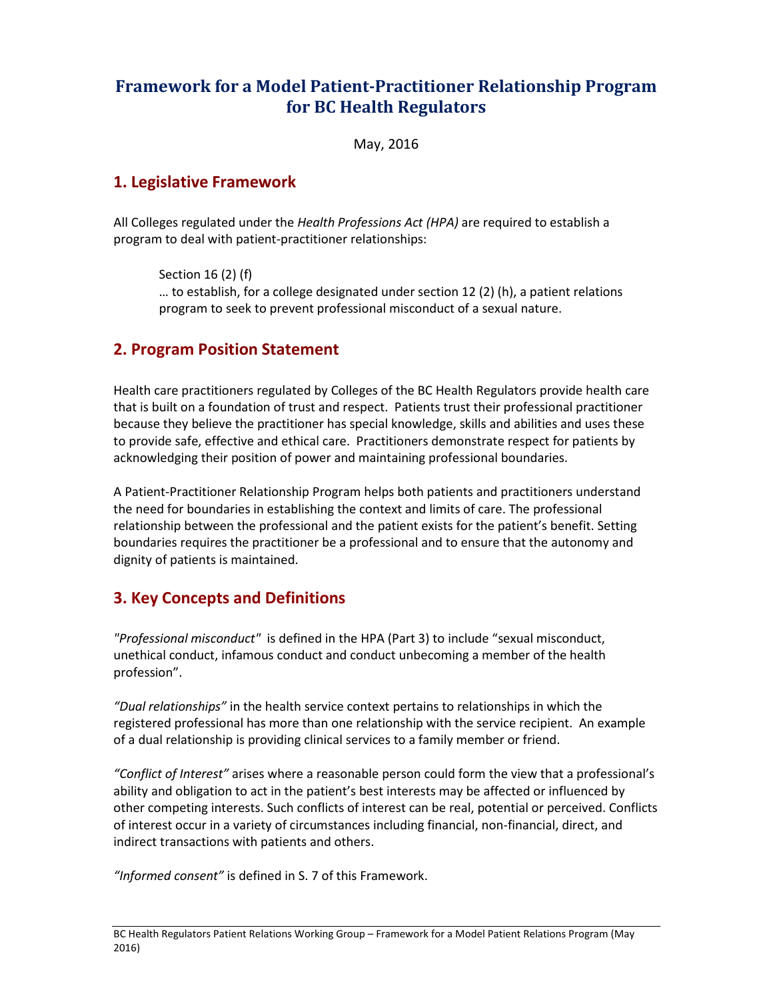# **Framework for a Model Patient-Practitioner Relationship Program for BC Health Regulators**

May, 2016

#### **1. Legislative Framework**

All Colleges regulated under the *Health Professions Act (HPA)* are required to establish a program to deal with patient-practitioner relationships:

Section 16 (2) (f) … to establish, for a college designated under section 12 (2) (h), a patient relations program to seek to prevent professional misconduct of a sexual nature.

#### **2. Program Position Statement**

Health care practitioners regulated by Colleges of the BC Health Regulators provide health care that is built on a foundation of trust and respect. Patients trust their professional practitioner because they believe the practitioner has special knowledge, skills and abilities and uses these to provide safe, effective and ethical care. Practitioners demonstrate respect for patients by acknowledging their position of power and maintaining professional boundaries.

A Patient-Practitioner Relationship Program helps both patients and practitioners understand the need for boundaries in establishing the context and limits of care. The professional relationship between the professional and the patient exists for the patient's benefit. Setting boundaries requires the practitioner be a professional and to ensure that the autonomy and dignity of patients is maintained.

#### **3. Key Concepts and Definitions**

*"Professional misconduct"* is defined in the HPA (Part 3) to include "sexual misconduct, unethical conduct, infamous conduct and conduct unbecoming a member of the health profession".

*"Dual relationships"* in the health service context pertains to relationships in which the registered professional has more than one relationship with the service recipient. An example of a dual relationship is providing clinical services to a family member or friend.

*"Conflict of Interest"* arises where a reasonable person could form the view that a professional's ability and obligation to act in the patient's best interests may be affected or influenced by other competing interests. Such conflicts of interest can be real, potential or perceived. Conflicts of interest occur in a variety of circumstances including financial, non-financial, direct, and indirect transactions with patients and others.

*"Informed consent"* is defined in S. 7 of this Framework.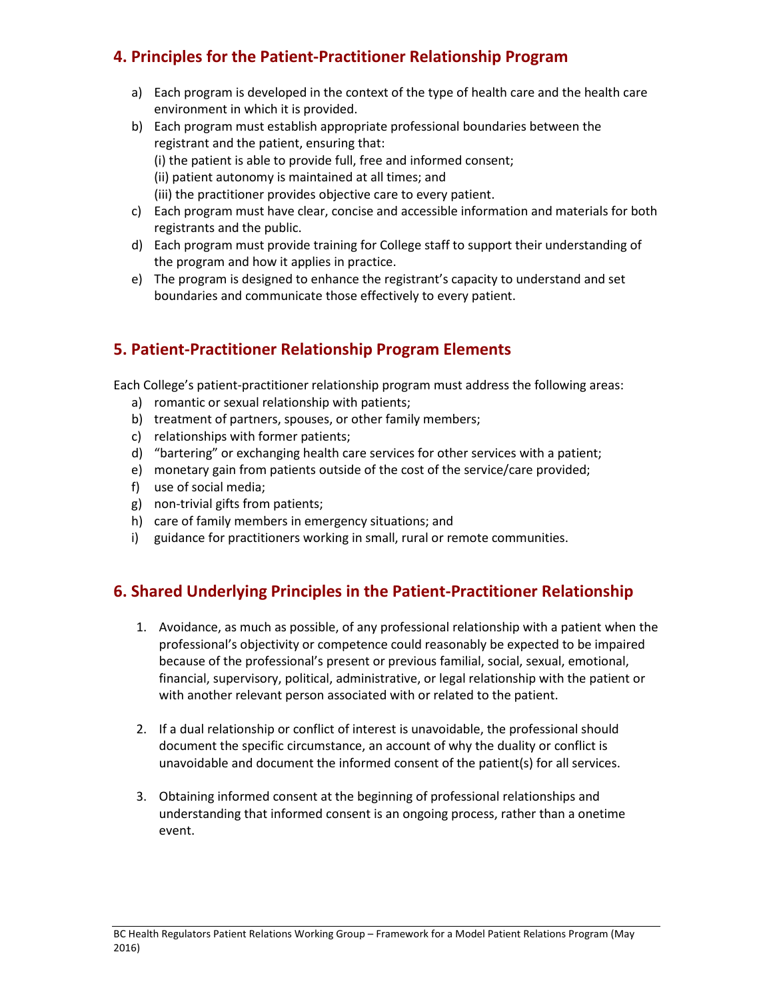## **4. Principles for the Patient-Practitioner Relationship Program**

- a) Each program is developed in the context of the type of health care and the health care environment in which it is provided.
- b) Each program must establish appropriate professional boundaries between the registrant and the patient, ensuring that: (i) the patient is able to provide full, free and informed consent; (ii) patient autonomy is maintained at all times; and (iii) the practitioner provides objective care to every patient.
- c) Each program must have clear, concise and accessible information and materials for both registrants and the public.
- d) Each program must provide training for College staff to support their understanding of the program and how it applies in practice.
- e) The program is designed to enhance the registrant's capacity to understand and set boundaries and communicate those effectively to every patient.

## **5. Patient-Practitioner Relationship Program Elements**

Each College's patient-practitioner relationship program must address the following areas:

- a) romantic or sexual relationship with patients;
- b) treatment of partners, spouses, or other family members;
- c) relationships with former patients;
- d) "bartering" or exchanging health care services for other services with a patient;
- e) monetary gain from patients outside of the cost of the service/care provided;
- f) use of social media;
- g) non-trivial gifts from patients;
- h) care of family members in emergency situations; and
- i) guidance for practitioners working in small, rural or remote communities.

## **6. Shared Underlying Principles in the Patient-Practitioner Relationship**

- 1. Avoidance, as much as possible, of any professional relationship with a patient when the professional's objectivity or competence could reasonably be expected to be impaired because of the professional's present or previous familial, social, sexual, emotional, financial, supervisory, political, administrative, or legal relationship with the patient or with another relevant person associated with or related to the patient.
- 2. If a dual relationship or conflict of interest is unavoidable, the professional should document the specific circumstance, an account of why the duality or conflict is unavoidable and document the informed consent of the patient(s) for all services.
- 3. Obtaining informed consent at the beginning of professional relationships and understanding that informed consent is an ongoing process, rather than a onetime event.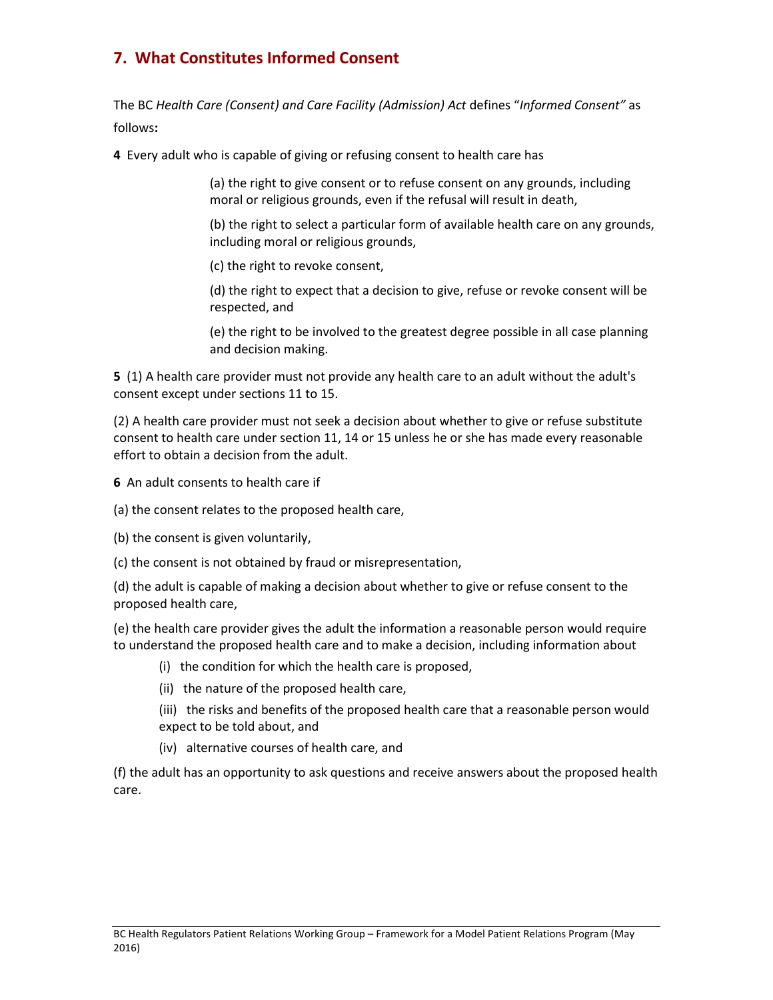# **7. What Constitutes Informed Consent**

The BC *Health Care (Consent) and Care Facility (Admission) Act* defines "*Informed Consent"* as follows**:**

**4** Every adult who is capable of giving or refusing consent to health care has

(a) the right to give consent or to refuse consent on any grounds, including moral or religious grounds, even if the refusal will result in death,

(b) the right to select a particular form of available health care on any grounds, including moral or religious grounds,

(c) the right to revoke consent,

(d) the right to expect that a decision to give, refuse or revoke consent will be respected, and

(e) the right to be involved to the greatest degree possible in all case planning and decision making.

**5** (1) A health care provider must not provide any health care to an adult without the adult's consent except under sections 11 to 15.

(2) A health care provider must not seek a decision about whether to give or refuse substitute consent to health care under section 11, 14 or 15 unless he or she has made every reasonable effort to obtain a decision from the adult.

**6** An adult consents to health care if

(a) the consent relates to the proposed health care,

(b) the consent is given voluntarily,

(c) the consent is not obtained by fraud or misrepresentation,

(d) the adult is capable of making a decision about whether to give or refuse consent to the proposed health care,

(e) the health care provider gives the adult the information a reasonable person would require to understand the proposed health care and to make a decision, including information about

- (i) the condition for which the health care is proposed,
- (ii) the nature of the proposed health care,

(iii) the risks and benefits of the proposed health care that a reasonable person would expect to be told about, and

(iv) alternative courses of health care, and

(f) the adult has an opportunity to ask questions and receive answers about the proposed health care.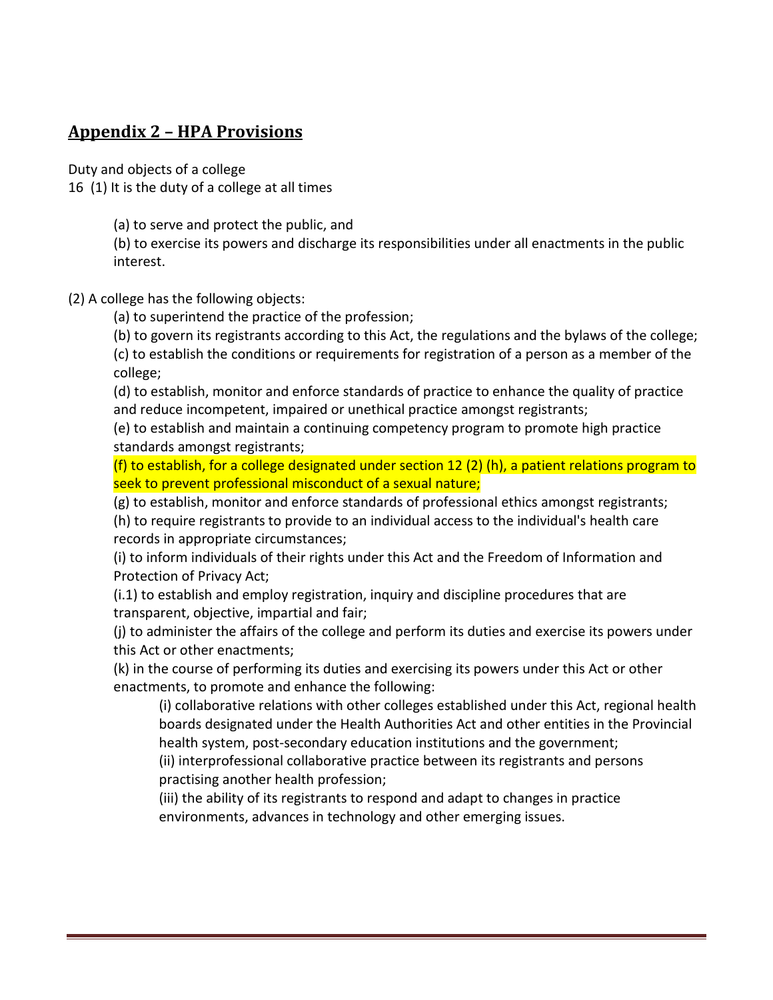### **Appendix 2 – HPA Provisions**

Duty and objects of a college

16 (1) It is the duty of a college at all times

(a) to serve and protect the public, and

(b) to exercise its powers and discharge its responsibilities under all enactments in the public interest.

(2) A college has the following objects:

(a) to superintend the practice of the profession;

(b) to govern its registrants according to this Act, the regulations and the bylaws of the college;

(c) to establish the conditions or requirements for registration of a person as a member of the college;

(d) to establish, monitor and enforce standards of practice to enhance the quality of practice and reduce incompetent, impaired or unethical practice amongst registrants;

(e) to establish and maintain a continuing competency program to promote high practice standards amongst registrants;

(f) to establish, for a college designated under section 12 (2) (h), a patient relations program to seek to prevent professional misconduct of a sexual nature;

(g) to establish, monitor and enforce standards of professional ethics amongst registrants;

(h) to require registrants to provide to an individual access to the individual's health care records in appropriate circumstances;

(i) to inform individuals of their rights under this Act and the Freedom of Information and Protection of Privacy Act;

(i.1) to establish and employ registration, inquiry and discipline procedures that are transparent, objective, impartial and fair;

(j) to administer the affairs of the college and perform its duties and exercise its powers under this Act or other enactments;

(k) in the course of performing its duties and exercising its powers under this Act or other enactments, to promote and enhance the following:

(i) collaborative relations with other colleges established under this Act, regional health boards designated under the Health Authorities Act and other entities in the Provincial health system, post-secondary education institutions and the government;

(ii) interprofessional collaborative practice between its registrants and persons practising another health profession;

(iii) the ability of its registrants to respond and adapt to changes in practice environments, advances in technology and other emerging issues.